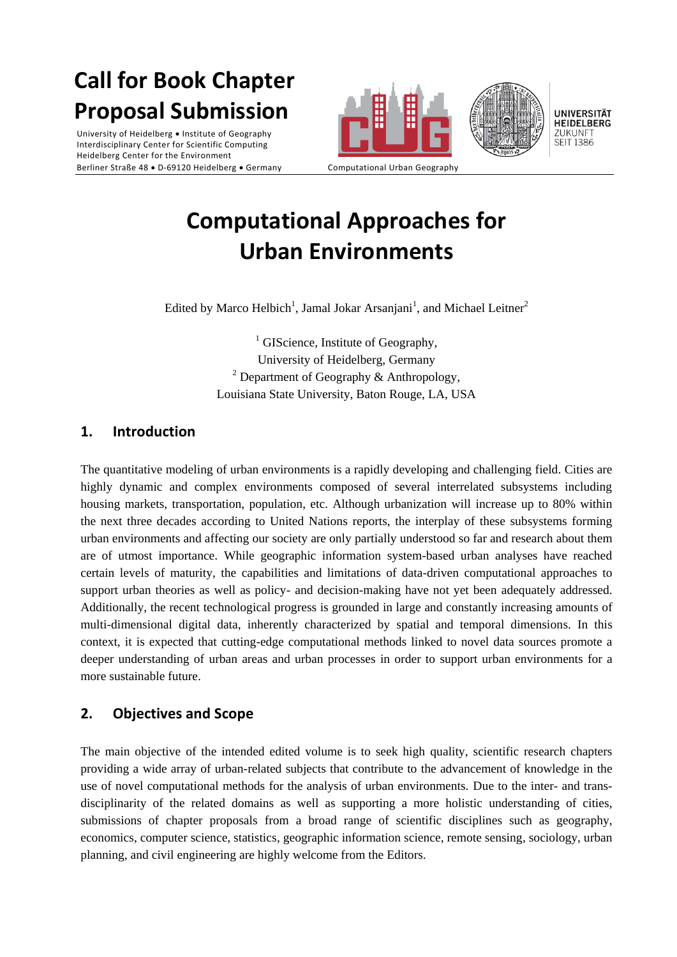# **Call for Book Chapter Proposal Submission**

University of Heidelberg • Institute of Geography Interdisciplinary Center for Scientific Computing Heidelberg Center for the Environment Berliner Straße 48 · D-69120 Heidelberg · Germany Computational Urban Geography





## **Computational Approaches for Urban Environments**

Edited by Marco Helbich<sup>1</sup>, Jamal Jokar Arsanjani<sup>1</sup>, and Michael Leitner<sup>2</sup>

 $<sup>1</sup>$  GIScience, Institute of Geography,</sup> University of Heidelberg, Germany <sup>2</sup> Department of Geography & Anthropology, Louisiana State University, Baton Rouge, LA, USA

### **1. Introduction**

The quantitative modeling of urban environments is a rapidly developing and challenging field. Cities are highly dynamic and complex environments composed of several interrelated subsystems including housing markets, transportation, population, etc. Although urbanization will increase up to 80% within the next three decades according to United Nations reports, the interplay of these subsystems forming urban environments and affecting our society are only partially understood so far and research about them are of utmost importance. While geographic information system-based urban analyses have reached certain levels of maturity, the capabilities and limitations of data-driven computational approaches to support urban theories as well as policy- and decision-making have not yet been adequately addressed. Additionally, the recent technological progress is grounded in large and constantly increasing amounts of multi-dimensional digital data, inherently characterized by spatial and temporal dimensions. In this context, it is expected that cutting-edge computational methods linked to novel data sources promote a deeper understanding of urban areas and urban processes in order to support urban environments for a more sustainable future.

### **2. Objectives and Scope**

The main objective of the intended edited volume is to seek high quality, scientific research chapters providing a wide array of urban-related subjects that contribute to the advancement of knowledge in the use of novel computational methods for the analysis of urban environments. Due to the inter- and transdisciplinarity of the related domains as well as supporting a more holistic understanding of cities, submissions of chapter proposals from a broad range of scientific disciplines such as geography, economics, computer science, statistics, geographic information science, remote sensing, sociology, urban planning, and civil engineering are highly welcome from the Editors.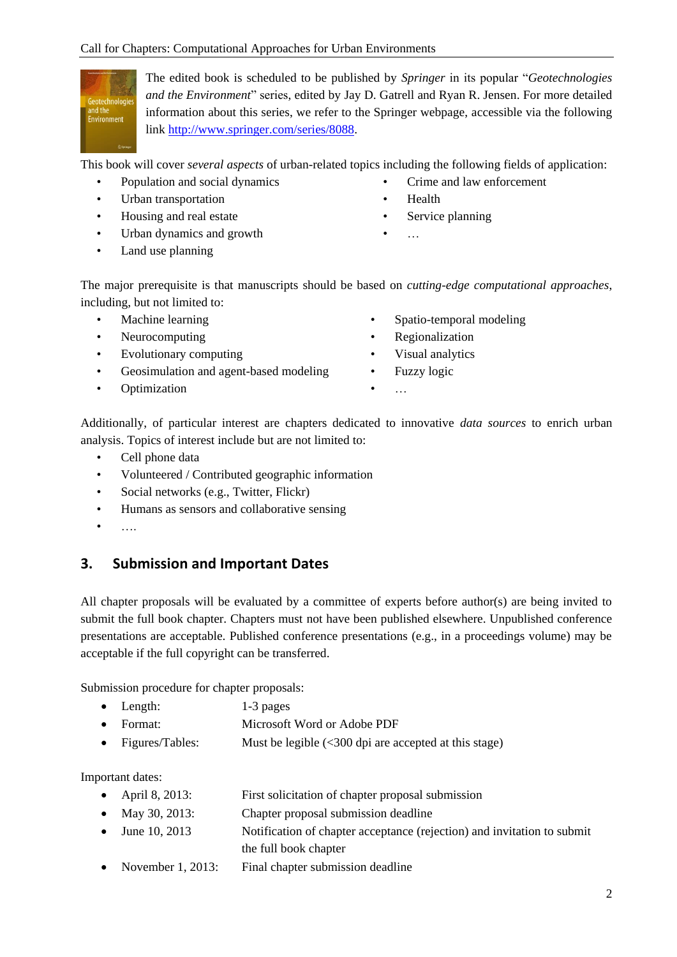

The edited book is scheduled to be published by *Springer* in its popular "*Geotechnologies and the Environment*" series, edited by Jay D. Gatrell and Ryan R. Jensen. For more detailed information about this series, we refer to the Springer webpage, accessible via the following link [http://www.springer.com/series/8088.](http://www.springer.com/series/8088)

This book will cover *several aspects* of urban-related topics including the following fields of application:

- Population and social dynamics
- Urban transportation
- Housing and real estate
- Urban dynamics and growth
- Land use planning
- Crime and law enforcement
- Health
- Service planning
- $\ddotsc$

The major prerequisite is that manuscripts should be based on *cutting-edge computational approaches*, including, but not limited to:

- Machine learning
- Neurocomputing
- Evolutionary computing
- Geosimulation and agent-based modeling
- Optimization
- Spatio-temporal modeling
- Regionalization
- Visual analytics
- Fuzzy logic
- …

Additionally, of particular interest are chapters dedicated to innovative *data sources* to enrich urban analysis. Topics of interest include but are not limited to:

- Cell phone data
- Volunteered / Contributed geographic information
- Social networks (e.g., Twitter, Flickr)
- Humans as sensors and collaborative sensing
- ….

### **3. Submission and Important Dates**

All chapter proposals will be evaluated by a committee of experts before author(s) are being invited to submit the full book chapter. Chapters must not have been published elsewhere. Unpublished conference presentations are acceptable. Published conference presentations (e.g., in a proceedings volume) may be acceptable if the full copyright can be transferred.

Submission procedure for chapter proposals:

- Length: 1-3 pages
- Format: Microsoft Word or Adobe PDF
- Figures/Tables: Must be legible  $\langle$  < 300 dpi are accepted at this stage)

Important dates:

- April 8, 2013: First solicitation of chapter proposal submission
- May 30, 2013: Chapter proposal submission deadline
- June 10, 2013 Notification of chapter acceptance (rejection) and invitation to submit the full book chapter
- November 1, 2013: Final chapter submission deadline